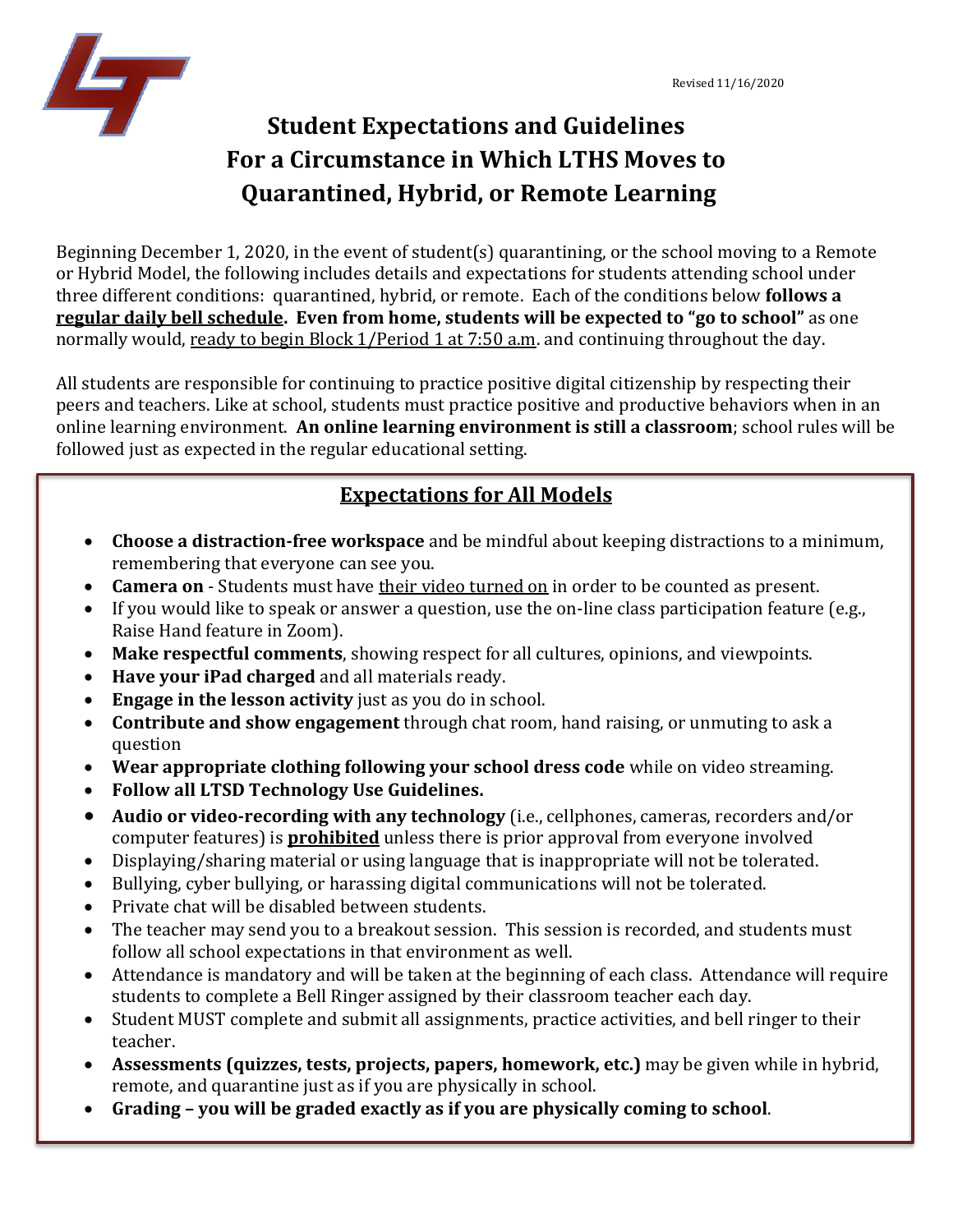

# **Student Expectations and Guidelines For a Circumstance in Which LTHS Moves to Quarantined, Hybrid, or Remote Learning**

Beginning December 1, 2020, in the event of student(s) quarantining, or the school moving to a Remote or Hybrid Model, the following includes details and expectations for students attending school under three different conditions: quarantined, hybrid, or remote. Each of the conditions below **follows a regular daily bell schedule. Even from home, students will be expected to "go to school"** as one normally would, ready to begin Block 1/Period 1 at 7:50 a.m. and continuing throughout the day.

All students are responsible for continuing to practice positive digital citizenship by respecting their peers and teachers. Like at school, students must practice positive and productive behaviors when in an online learning environment. **An online learning environment is still a classroom**; school rules will be followed just as expected in the regular educational setting.

# **Expectations for All Models**

- **Choose a distraction-free workspace** and be mindful about keeping distractions to a minimum, remembering that everyone can see you.
- **Camera on** Students must have their video turned on in order to be counted as present.
- If you would like to speak or answer a question, use the on-line class participation feature (e.g., Raise Hand feature in Zoom).
- **Make respectful comments**, showing respect for all cultures, opinions, and viewpoints.
- **Have your iPad charged** and all materials ready.
- **Engage in the lesson activity** just as you do in school.
- **Contribute and show engagement** through chat room, hand raising, or unmuting to ask a question
- **Wear appropriate clothing following your school dress code** while on video streaming.
- **Follow all LTSD Technology Use Guidelines.**
- **Audio or video-recording with any technology** (i.e., cellphones, cameras, recorders and/or computer features) is **prohibited** unless there is prior approval from everyone involved
- Displaying/sharing material or using language that is inappropriate will not be tolerated.
- Bullying, cyber bullying, or harassing digital communications will not be tolerated.
- Private chat will be disabled between students.
- The teacher may send you to a breakout session. This session is recorded, and students must follow all school expectations in that environment as well.
- Attendance is mandatory and will be taken at the beginning of each class. Attendance will require students to complete a Bell Ringer assigned by their classroom teacher each day.
- Student MUST complete and submit all assignments, practice activities, and bell ringer to their teacher.
- **Assessments (quizzes, tests, projects, papers, homework, etc.)** may be given while in hybrid, remote, and quarantine just as if you are physically in school.
- **Grading – you will be graded exactly as if you are physically coming to school**.